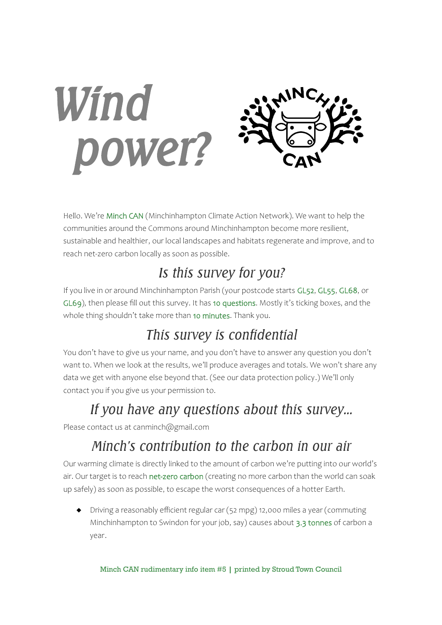

Hello. We're Minch CAN (Minchinhampton Climate Action Network). We want to help the communities around the Commons around Minchinhampton become more resilient, sustainable and healthier, our local landscapes and habitats regenerate and improve, and to reach net-zero carbon locally as soon as possible.

## *Is this survey for you?*

If you live in or around Minchinhampton Parish (your postcode starts GL52, GL55, GL68, or GL69), then please fill out this survey. It has 10 questions. Mostly it's ticking boxes, and the whole thing shouldn't take more than 10 minutes. Thank you.

# *This survey is confidential*

You don't have to give us your name, and you don't have to answer any question you don't want to. When we look at the results, we'll produce averages and totals. We won't share any data we get with anyone else beyond that. (See our data protection policy.) We'll only contact you if you give us your permission to.

# *If you have any questions about this survey…*

Please contact us at canminch@gmail.com

# *Minch's contribution to the carbon in our air*

Our warming climate is directly linked to the amount of carbon we're putting into our world's air. Our target is to reach net-zero carbon (creating no more carbon than the world can soak up safely) as soon as possible, to escape the worst consequences of a hotter Earth.

 Driving a reasonably efficient regular car (52 mpg) 12,000 miles a year (commuting Minchinhampton to Swindon for your job, say) causes about 3.3 tonnes of carbon a year.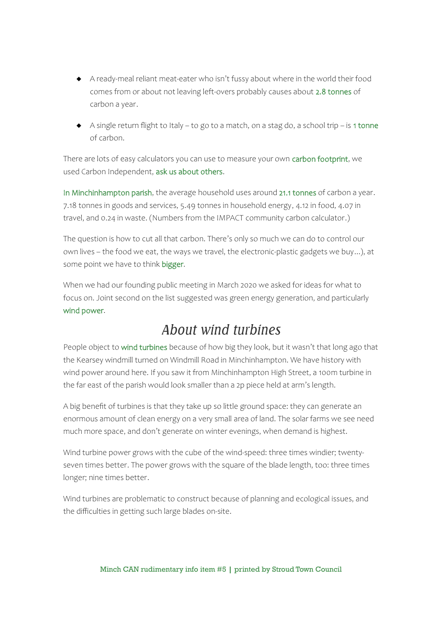- A ready-meal reliant meat-eater who isn't fussy about where in the world their food comes from or about not leaving left-overs probably causes about 2.8 tonnes of carbon a year.
- A single return flight to Italy to go to a match, on a stag do, a school trip is 1 tonne of carbon.

There are lots of easy calculators you can use to measure your own carbon footprint, we used Carbon Independent, ask us about others.

In Minchinhampton parish, the average household uses around 21.1 tonnes of carbon a year. 7.18 tonnes in goods and services, 5.49 tonnes in household energy, 4.12 in food, 4.07 in travel, and 0.24 in waste. (Numbers from the IMPACT community carbon calculator.)

The question is how to cut all that carbon. There's only so much we can do to control our own lives – the food we eat, the ways we travel, the electronic-plastic gadgets we buy...), at some point we have to think bigger.

When we had our founding public meeting in March 2020 we asked for ideas for what to focus on. Joint second on the list suggested was green energy generation, and particularly wind power.

### *About wind turbines*

People object to wind turbines because of how big they look, but it wasn't that long ago that the Kearsey windmill turned on Windmill Road in Minchinhampton. We have history with wind power around here. If you saw it from Minchinhampton High Street, a 100m turbine in the far east of the parish would look smaller than a 2p piece held at arm's length.

A big benefit of turbines is that they take up so little ground space: they can generate an enormous amount of clean energy on a very small area of land. The solar farms we see need much more space, and don't generate on winter evenings, when demand is highest.

Wind turbine power grows with the cube of the wind-speed: three times windier; twentyseven times better. The power grows with the square of the blade length, too: three times longer; nine times better.

Wind turbines are problematic to construct because of planning and ecological issues, and the difficulties in getting such large blades on-site.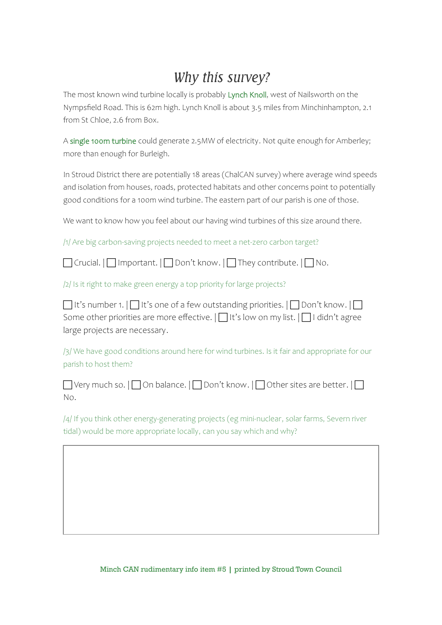### *Why this survey?*

The most known wind turbine locally is probably Lynch Knoll, west of Nailsworth on the Nympsfield Road. This is 62m high. Lynch Knoll is about 3.5 miles from Minchinhampton, 2.1 from St Chloe, 2.6 from Box.

A single 100m turbine could generate 2.5MW of electricity. Not quite enough for Amberley; more than enough for Burleigh.

In Stroud District there are potentially 18 areas (ChalCAN survey) where average wind speeds and isolation from houses, roads, protected habitats and other concerns point to potentially good conditions for a 100m wind turbine. The eastern part of our parish is one of those.

We want to know how you feel about our having wind turbines of this size around there.

/1/ Are big carbon-saving projects needed to meet a net-zero carbon target?

 $\Box$  Crucial.  $\Box$  Important.  $\Box$  Don't know.  $\Box$  They contribute.  $\Box$  No.

/2/ Is it right to make green energy a top priority for large projects?

| $\Box$ It's number 1. $\Box$ It's one of a few outstanding priorities. $\Box$ Don't know. $\Box$ |
|--------------------------------------------------------------------------------------------------|
| Some other priorities are more effective. $\Box$ It's low on my list. $\Box$ I didn't agree      |
| large projects are necessary.                                                                    |

/3/ We have good conditions around here for wind turbines. Is it fair and appropriate for our parish to host them?

|    | $\Box$ Very much so. $\Box$ On balance. $\Box$ Don't know. $\Box$ Other sites are better. $\Box$ |
|----|--------------------------------------------------------------------------------------------------|
| No |                                                                                                  |

/4/ If you think other energy-generating projects (eg mini-nuclear, solar farms, Severn river tidal) would be more appropriate locally, can you say which and why?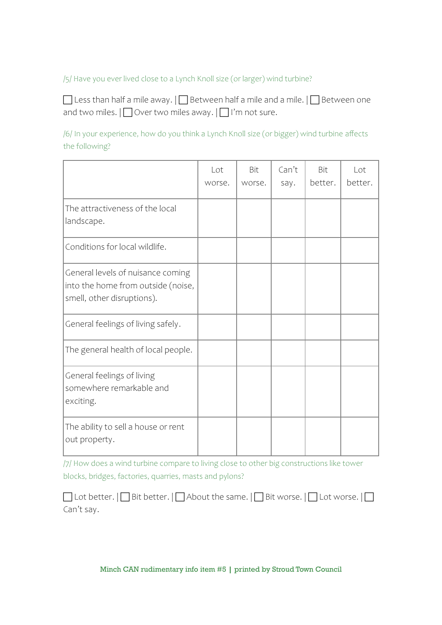#### /5/ Have you ever lived close to a Lynch Knoll size (or larger) wind turbine?

 $\Box$  Less than half a mile away.  $|\Box$  Between half a mile and a mile.  $|\Box$  Between one and two miles.  $\prod$  Over two miles away.  $\prod$  I'm not sure.

/6/ In your experience, how do you think a Lynch Knoll size (or bigger) wind turbine affects the following?

|                                                                                                       | Lot<br>worse. | Bit<br>worse. | Can't<br>say. | Bit<br>better. | Lot<br>better. |
|-------------------------------------------------------------------------------------------------------|---------------|---------------|---------------|----------------|----------------|
| The attractiveness of the local<br>landscape.                                                         |               |               |               |                |                |
| Conditions for local wildlife.                                                                        |               |               |               |                |                |
| General levels of nuisance coming<br>into the home from outside (noise,<br>smell, other disruptions). |               |               |               |                |                |
| General feelings of living safely.                                                                    |               |               |               |                |                |
| The general health of local people.                                                                   |               |               |               |                |                |
| General feelings of living<br>somewhere remarkable and<br>exciting.                                   |               |               |               |                |                |
| The ability to sell a house or rent<br>out property.                                                  |               |               |               |                |                |

/7/ How does a wind turbine compare to living close to other big constructions like tower blocks, bridges, factories, quarries, masts and pylons?

|            | $\Box$ Lot better. $ \Box$ Bit better. $ \Box$ About the same. $ \Box$ Bit worse. $ \Box$ Lot worse. $ \Box$ |  |  |  |
|------------|--------------------------------------------------------------------------------------------------------------|--|--|--|
| Can't say. |                                                                                                              |  |  |  |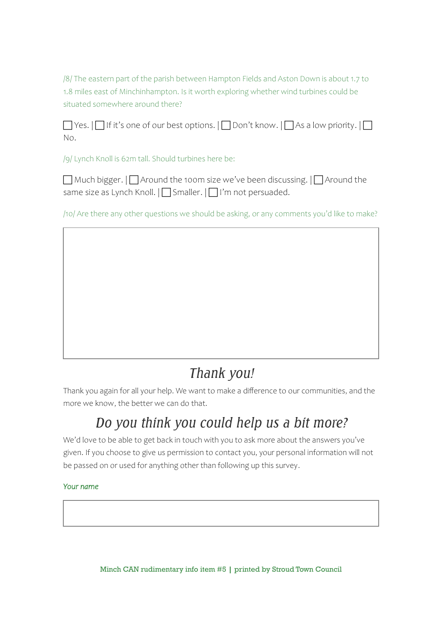/8/ The eastern part of the parish between Hampton Fields and Aston Down is about 1.7 to 1.8 miles east of Minchinhampton. Is it worth exploring whether wind turbines could be situated somewhere around there?

 $\Box$  Yes.  $\Box$  If it's one of our best options.  $\Box$  Don't know.  $\Box$  As a low priority.  $\Box$ No.

/9/ Lynch Knoll is 62m tall. Should turbines here be:

 $\Box$  Much bigger.  $\Box$  Around the 100m size we've been discussing.  $\Box$  Around the same size as Lynch Knoll.  $\prod$  Smaller.  $\prod$  I'm not persuaded.

/10/ Are there any other questions we should be asking, or any comments you'd like to make?

# *Thank you!*

Thank you again for all your help. We want to make a difference to our communities, and the more we know, the better we can do that.

### *Do you think you could help us a bit more?*

We'd love to be able to get back in touch with you to ask more about the answers you've given. If you choose to give us permission to contact you, your personal information will not be passed on or used for anything other than following up this survey.

#### *Your name*